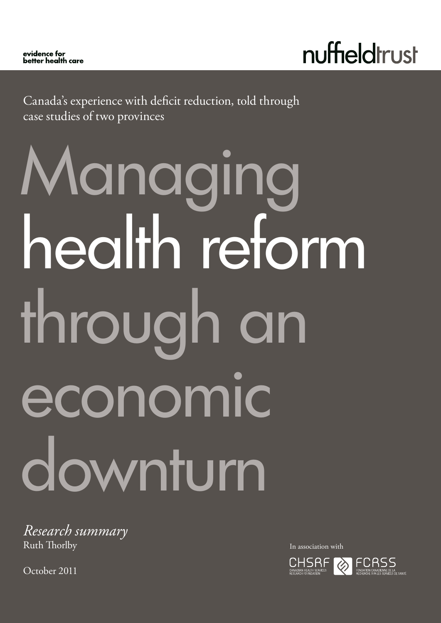nuffieldtrust

Canada's experience with deficit reduction, told through case studies of two provinces

# Managing health reform through an economic downturn

*Research summary* Ruth Thorlby

October 2011

In association with

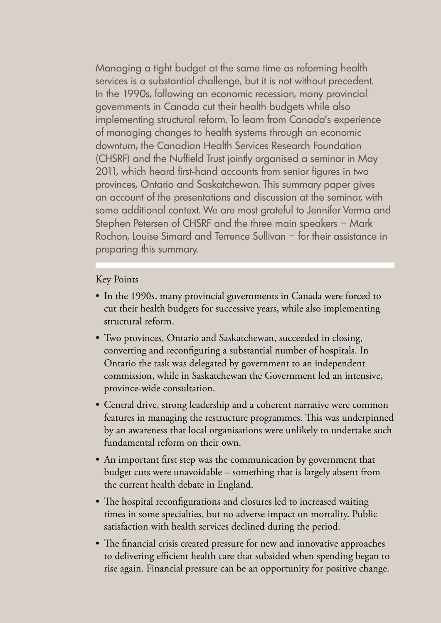Managing a tight budget at the same time as reforming health services is a substantial challenge, but it is not without precedent. In the 1990s, following an economic recession, many provincial governments in Canada cut their health budgets while also implementing structural reform. To learn from Canada's experience of managing changes to health systems through an economic downturn, the Canadian Health Services Research Foundation (CHSRF) and the Nuffield Trust jointly organised a seminar in May 2011, which heard first-hand accounts from senior figures in two provinces, Ontario and Saskatchewan. This summary paper gives an account of the presentations and discussion at the seminar, with some additional context. We are most grateful to Jennifer Verma and Stephen Petersen of CHSRF and the three main speakers – Mark Rochon, Louise Simard and Terrence Sullivan – for their assistance in preparing this summary.

## Key Points

- In the 1990s, many provincial governments in Canada were forced to cut their health budgets for successive years, while also implementing structural reform.
- Two provinces, Ontario and Saskatchewan, succeeded in closing, converting and reconfiguring a substantial number of hospitals. In Ontario the task was delegated by government to an independent commission, while in Saskatchewan the Government led an intensive, province-wide consultation.
- Central drive, strong leadership and a coherent narrative were common features in managing the restructure programmes. This was underpinned by an awareness that local organisations were unlikely to undertake such fundamental reform on their own.
- An important first step was the communication by government that budget cuts were unavoidable – something that is largely absent from the current health debate in England.
- The hospital reconfigurations and closures led to increased waiting times in some specialties, but no adverse impact on mortality. Public satisfaction with health services declined during the period.
- The financial crisis created pressure for new and innovative approaches to delivering efficient health care that subsided when spending began to rise again. Financial pressure can be an opportunity for positive change.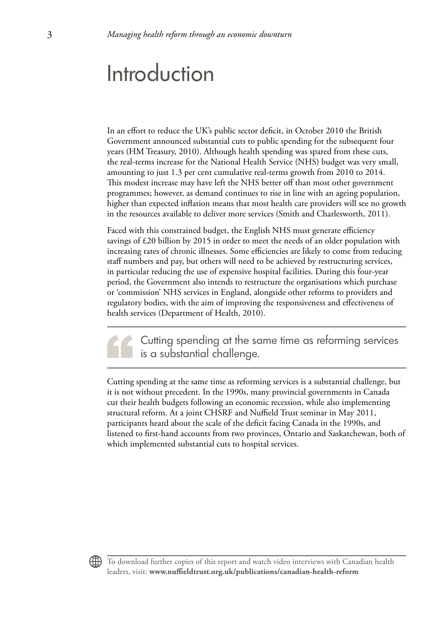# Introduction

In an effort to reduce the UK's public sector deficit, in October 2010 the British Government announced substantial cuts to public spending for the subsequent four years (HM Treasury, 2010). Although health spending was spared from these cuts, the real-terms increase for the National Health Service (NHS) budget was very small, amounting to just 1.3 per cent cumulative real-terms growth from 2010 to 2014. This modest increase may have left the NHS better off than most other government programmes; however, as demand continues to rise in line with an ageing population, higher than expected inflation means that most health care providers will see no growth in the resources available to deliver more services (Smith and Charlesworth, 2011).

Faced with this constrained budget, the English NHS must generate efficiency savings of £20 billion by 2015 in order to meet the needs of an older population with increasing rates of chronic illnesses. Some efficiencies are likely to come from reducing staff numbers and pay, but others will need to be achieved by restructuring services, in particular reducing the use of expensive hospital facilities. During this four-year period, the Government also intends to restructure the organisations which purchase or 'commission' NHS services in England, alongside other reforms to providers and regulatory bodies, with the aim of improving the responsiveness and effectiveness of health services (Department of Health, 2010).

Cutting spending at the same time as reforming services is a substantial challenge.

Cutting spending at the same time as reforming services is a substantial challenge, but it is not without precedent. In the 1990s, many provincial governments in Canada cut their health budgets following an economic recession, while also implementing structural reform. At a joint CHSRF and Nuffield Trust seminar in May 2011, participants heard about the scale of the deficit facing Canada in the 1990s, and listened to first-hand accounts from two provinces, Ontario and Saskatchewan, both of which implemented substantial cuts to hospital services.

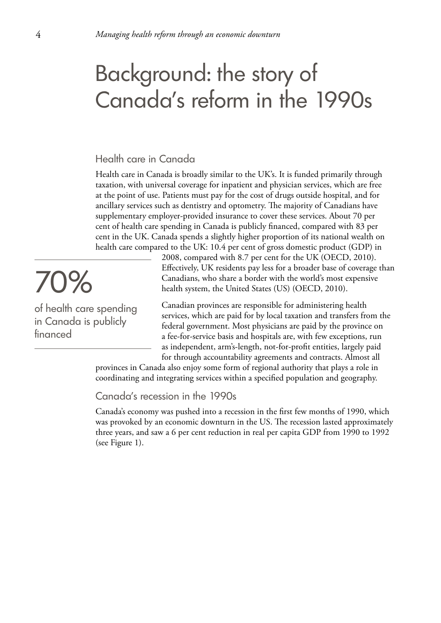# Background: the story of Canada's reform in the 1990s

### Health care in Canada

Health care in Canada is broadly similar to the UK's. It is funded primarily through taxation, with universal coverage for inpatient and physician services, which are free at the point of use. Patients must pay for the cost of drugs outside hospital, and for ancillary services such as dentistry and optometry. The majority of Canadians have supplementary employer-provided insurance to cover these services. About 70 per cent of health care spending in Canada is publicly financed, compared with 83 per cent in the UK. Canada spends a slightly higher proportion of its national wealth on health care compared to the UK: 10.4 per cent of gross domestic product (GDP) in

> 2008, compared with 8.7 per cent for the UK (OECD, 2010). Effectively, UK residents pay less for a broader base of coverage than Canadians, who share a border with the world's most expensive health system, the United States (US) (OECD, 2010).

Canadian provinces are responsible for administering health services, which are paid for by local taxation and transfers from the federal government. Most physicians are paid by the province on a fee-for-service basis and hospitals are, with few exceptions, run as independent, arm's-length, not-for-profit entities, largely paid for through accountability agreements and contracts. Almost all

provinces in Canada also enjoy some form of regional authority that plays a role in coordinating and integrating services within a specified population and geography.

Canada's recession in the 1990s

Canada's economy was pushed into a recession in the first few months of 1990, which was provoked by an economic downturn in the US. The recession lasted approximately three years, and saw a 6 per cent reduction in real per capita GDP from 1990 to 1992 (see Figure 1).

70%

of health care spending in Canada is publicly financed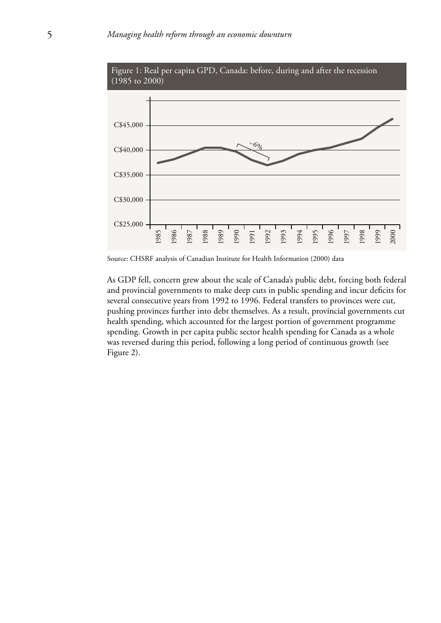

Figure 1: Real per capita GPD, Canada: before, during and after the recession

As GDP fell, concern grew about the scale of Canada's public debt, forcing both federal and provincial governments to make deep cuts in public spending and incur deficits for several consecutive years from 1992 to 1996. Federal transfers to provinces were cut, pushing provinces further into debt themselves. As a result, provincial governments cut health spending, which accounted for the largest portion of government programme spending. Growth in per capita public sector health spending for Canada as a whole was reversed during this period, following a long period of continuous growth (see Figure 2).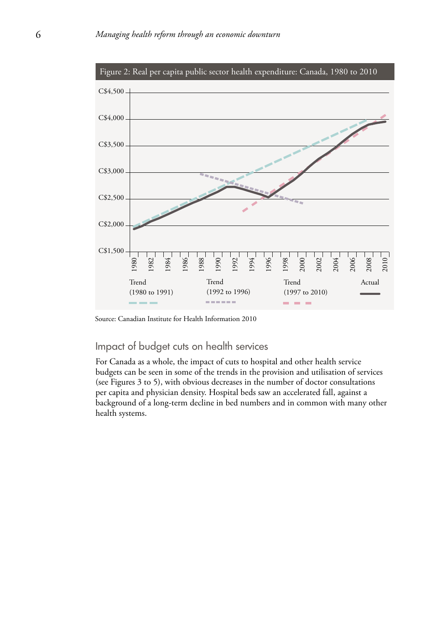

## Impact of budget cuts on health services

For Canada as a whole, the impact of cuts to hospital and other health service budgets can be seen in some of the trends in the provision and utilisation of services (see Figures 3 to 5), with obvious decreases in the number of doctor consultations per capita and physician density. Hospital beds saw an accelerated fall, against a background of a long-term decline in bed numbers and in common with many other health systems.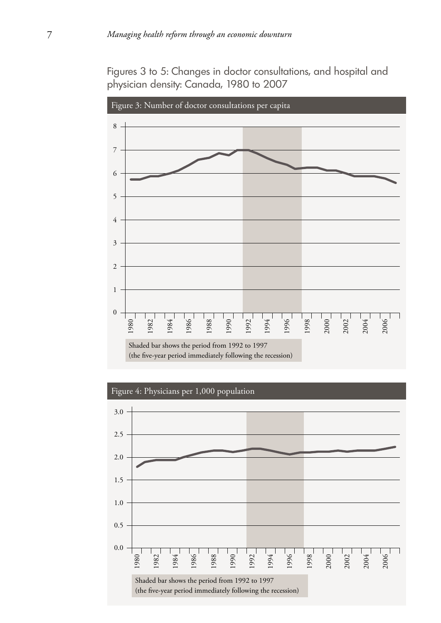Figures 3 to 5: Changes in doctor consultations, and hospital and physician density: Canada, 1980 to 2007



Figure 4: Physicians per 1,000 population

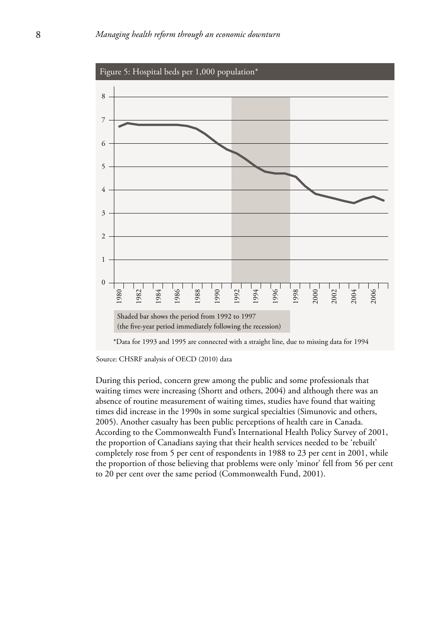

Source: CHSRF analysis of OECD (2010) data

During this period, concern grew among the public and some professionals that waiting times were increasing (Shortt and others, 2004) and although there was an absence of routine measurement of waiting times, studies have found that waiting times did increase in the 1990s in some surgical specialties (Simunovic and others, 2005). Another casualty has been public perceptions of health care in Canada. According to the Commonwealth Fund's International Health Policy Survey of 2001, the proportion of Canadians saying that their health services needed to be 'rebuilt' completely rose from 5 per cent of respondents in 1988 to 23 per cent in 2001, while the proportion of those believing that problems were only 'minor' fell from 56 per cent  $\frac{22}{21}$   $\frac{22}{21}$   $\frac{22}{21}$   $\frac{22}{21}$   $\frac{22}{21}$   $\frac{22}{21}$   $\frac{22}{21}$   $\frac{22}{21}$   $\frac{22}{21}$   $\frac{22}{21}$   $\frac{22}{21}$   $\frac{22}{21}$   $\frac{22}{21}$   $\frac{22}{21}$   $\frac{22}{21}$   $\frac{22}{21}$   $\frac{22}{21}$   $\frac{22}{21}$   $\frac{2$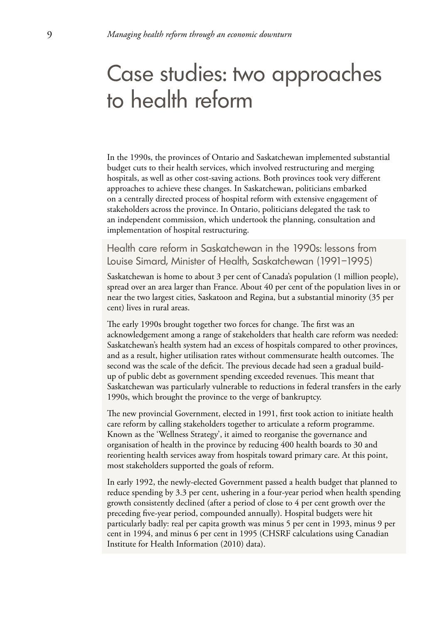# Case studies: two approaches to health reform

In the 1990s, the provinces of Ontario and Saskatchewan implemented substantial budget cuts to their health services, which involved restructuring and merging hospitals, as well as other cost-saving actions. Both provinces took very different approaches to achieve these changes. In Saskatchewan, politicians embarked on a centrally directed process of hospital reform with extensive engagement of stakeholders across the province. In Ontario, politicians delegated the task to an independent commission, which undertook the planning, consultation and implementation of hospital restructuring.

Health care reform in Saskatchewan in the 1990s: lessons from Louise Simard, Minister of Health, Saskatchewan (1991–1995)

Saskatchewan is home to about 3 per cent of Canada's population (1 million people), spread over an area larger than France. About 40 per cent of the population lives in or near the two largest cities, Saskatoon and Regina, but a substantial minority (35 per cent) lives in rural areas.

The early 1990s brought together two forces for change. The first was an acknowledgement among a range of stakeholders that health care reform was needed: Saskatchewan's health system had an excess of hospitals compared to other provinces, and as a result, higher utilisation rates without commensurate health outcomes. The second was the scale of the deficit. The previous decade had seen a gradual buildup of public debt as government spending exceeded revenues. This meant that Saskatchewan was particularly vulnerable to reductions in federal transfers in the early 1990s, which brought the province to the verge of bankruptcy.

The new provincial Government, elected in 1991, first took action to initiate health care reform by calling stakeholders together to articulate a reform programme. Known as the 'Wellness Strategy', it aimed to reorganise the governance and organisation of health in the province by reducing 400 health boards to 30 and reorienting health services away from hospitals toward primary care. At this point, most stakeholders supported the goals of reform.

In early 1992, the newly-elected Government passed a health budget that planned to reduce spending by 3.3 per cent, ushering in a four-year period when health spending growth consistently declined (after a period of close to 4 per cent growth over the preceding five-year period, compounded annually). Hospital budgets were hit particularly badly: real per capita growth was minus 5 per cent in 1993, minus 9 per cent in 1994, and minus 6 per cent in 1995 (CHSRF calculations using Canadian Institute for Health Information (2010) data).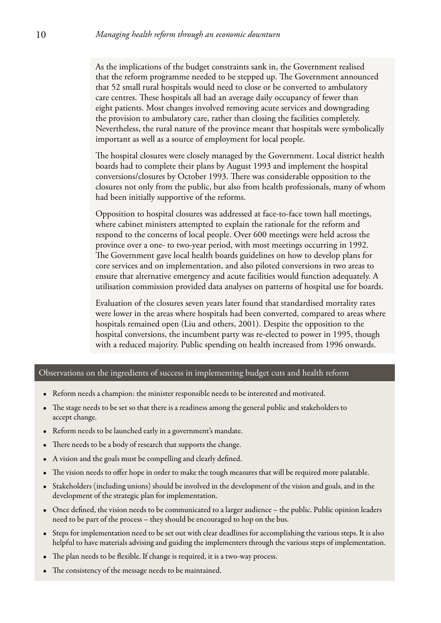As the implications of the budget constraints sank in, the Government realised that the reform programme needed to be stepped up. The Government announced that 52 small rural hospitals would need to close or be converted to ambulatory care centres. These hospitals all had an average daily occupancy of fewer than eight patients. Most changes involved removing acute services and downgrading the provision to ambulatory care, rather than closing the facilities completely. Nevertheless, the rural nature of the province meant that hospitals were symbolically important as well as a source of employment for local people.

The hospital closures were closely managed by the Government. Local district health boards had to complete their plans by August 1993 and implement the hospital conversions/closures by October 1993. There was considerable opposition to the closures not only from the public, but also from health professionals, many of whom had been initially supportive of the reforms.

Opposition to hospital closures was addressed at face-to-face town hall meetings, where cabinet ministers attempted to explain the rationale for the reform and respond to the concerns of local people. Over 600 meetings were held across the province over a one- to two-year period, with most meetings occurring in 1992. The Government gave local health boards guidelines on how to develop plans for core services and on implementation, and also piloted conversions in two areas to ensure that alternative emergency and acute facilities would function adequately. A utilisation commission provided data analyses on patterns of hospital use for boards.

Evaluation of the closures seven years later found that standardised mortality rates were lower in the areas where hospitals had been converted, compared to areas where hospitals remained open (Liu and others, 2001). Despite the opposition to the hospital conversions, the incumbent party was re-elected to power in 1995, though with a reduced majority. Public spending on health increased from 1996 onwards.

#### Observations on the ingredients of success in implementing budget cuts and health reform

- • Reform needs a champion: the minister responsible needs to be interested and motivated.
- The stage needs to be set so that there is a readiness among the general public and stakeholders to accept change.
- • Reform needs to be launched early in a government's mandate.
- There needs to be a body of research that supports the change.
- A vision and the goals must be compelling and clearly defined.
- The vision needs to offer hope in order to make the tough measures that will be required more palatable.
- Stakeholders (including unions) should be involved in the development of the vision and goals, and in the development of the strategic plan for implementation.
- • Once defined, the vision needs to be communicated to a larger audience the public. Public opinion leaders need to be part of the process – they should be encouraged to hop on the bus.
- Steps for implementation need to be set out with clear deadlines for accomplishing the various steps. It is also helpful to have materials advising and guiding the implementers through the various steps of implementation.
- The plan needs to be flexible. If change is required, it is a two-way process.
- The consistency of the message needs to be maintained.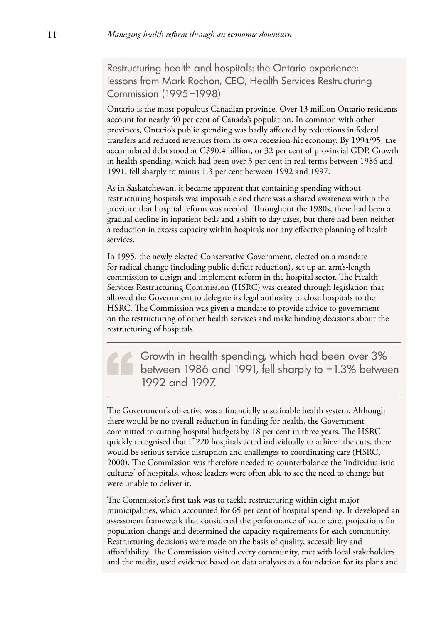Restructuring health and hospitals: the Ontario experience: lessons from Mark Rochon, CEO, Health Services Restructuring Commission (1995–1998)

Ontario is the most populous Canadian province. Over 13 million Ontario residents account for nearly 40 per cent of Canada's population. In common with other provinces, Ontario's public spending was badly affected by reductions in federal transfers and reduced revenues from its own recession-hit economy. By 1994/95, the accumulated debt stood at C\$90.4 billion, or 32 per cent of provincial GDP. Growth in health spending, which had been over 3 per cent in real terms between 1986 and 1991, fell sharply to minus 1.3 per cent between 1992 and 1997.

As in Saskatchewan, it became apparent that containing spending without restructuring hospitals was impossible and there was a shared awareness within the province that hospital reform was needed. Throughout the 1980s, there had been a gradual decline in inpatient beds and a shift to day cases, but there had been neither a reduction in excess capacity within hospitals nor any effective planning of health services.

In 1995, the newly elected Conservative Government, elected on a mandate for radical change (including public deficit reduction), set up an arm's-length commission to design and implement reform in the hospital sector. The Health Services Restructuring Commission (HSRC) was created through legislation that allowed the Government to delegate its legal authority to close hospitals to the HSRC. The Commission was given a mandate to provide advice to government on the restructuring of other health services and make binding decisions about the restructuring of hospitals.

Growth in health spending, which had been over 3% between 1986 and 1991, fell sharply to –1.3% between 1992 and 1997.

The Government's objective was a financially sustainable health system. Although there would be no overall reduction in funding for health, the Government committed to cutting hospital budgets by 18 per cent in three years. The HSRC quickly recognised that if 220 hospitals acted individually to achieve the cuts, there would be serious service disruption and challenges to coordinating care (HSRC, 2000). The Commission was therefore needed to counterbalance the 'individualistic cultures' of hospitals, whose leaders were often able to see the need to change but were unable to deliver it.

The Commission's first task was to tackle restructuring within eight major municipalities, which accounted for 65 per cent of hospital spending. It developed an assessment framework that considered the performance of acute care, projections for population change and determined the capacity requirements for each community. Restructuring decisions were made on the basis of quality, accessibility and affordability. The Commission visited every community, met with local stakeholders and the media, used evidence based on data analyses as a foundation for its plans and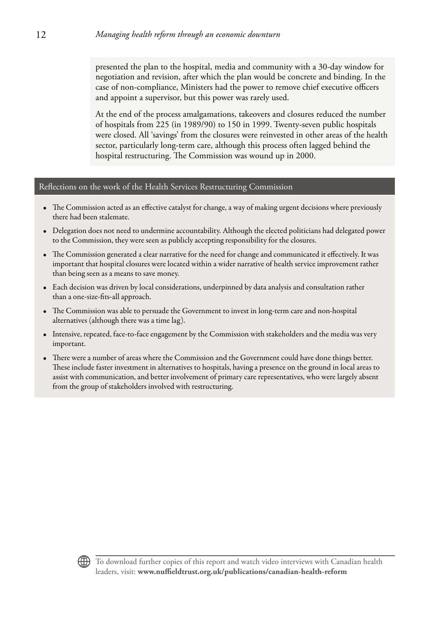presented the plan to the hospital, media and community with a 30-day window for negotiation and revision, after which the plan would be concrete and binding. In the case of non-compliance, Ministers had the power to remove chief executive officers and appoint a supervisor, but this power was rarely used.

At the end of the process amalgamations, takeovers and closures reduced the number of hospitals from 225 (in 1989/90) to 150 in 1999. Twenty-seven public hospitals were closed. All 'savings' from the closures were reinvested in other areas of the health sector, particularly long-term care, although this process often lagged behind the hospital restructuring. The Commission was wound up in 2000.

#### Reflections on the work of the Health Services Restructuring Commission

- The Commission acted as an effective catalyst for change, a way of making urgent decisions where previously there had been stalemate.
- • Delegation does not need to undermine accountability. Although the elected politicians had delegated power to the Commission, they were seen as publicly accepting responsibility for the closures.
- • The Commission generated a clear narrative for the need for change and communicated it effectively. It was important that hospital closures were located within a wider narrative of health service improvement rather than being seen as a means to save money.
- • Each decision was driven by local considerations, underpinned by data analysis and consultation rather than a one-size-fits-all approach.
- • The Commission was able to persuade the Government to invest in long-term care and non-hospital alternatives (although there was a time lag).
- • Intensive, repeated, face-to-face engagement by the Commission with stakeholders and the media was very important.
- There were a number of areas where the Commission and the Government could have done things better. These include faster investment in alternatives to hospitals, having a presence on the ground in local areas to assist with communication, and better involvement of primary care representatives, who were largely absent from the group of stakeholders involved with restructuring.

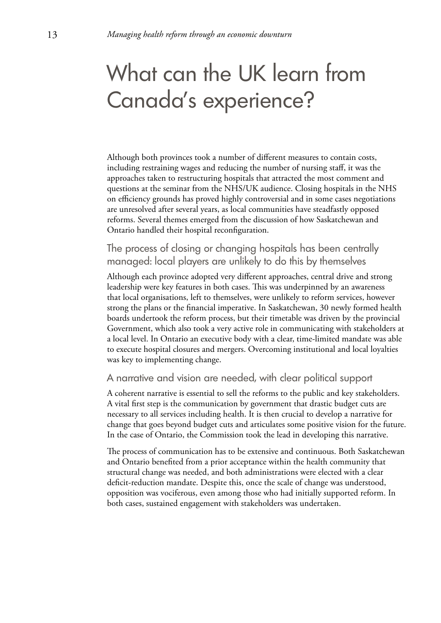# What can the UK learn from Canada's experience?

Although both provinces took a number of different measures to contain costs, including restraining wages and reducing the number of nursing staff, it was the approaches taken to restructuring hospitals that attracted the most comment and questions at the seminar from the NHS/UK audience. Closing hospitals in the NHS on efficiency grounds has proved highly controversial and in some cases negotiations are unresolved after several years, as local communities have steadfastly opposed reforms. Several themes emerged from the discussion of how Saskatchewan and Ontario handled their hospital reconfiguration.

## The process of closing or changing hospitals has been centrally managed: local players are unlikely to do this by themselves

Although each province adopted very different approaches, central drive and strong leadership were key features in both cases. This was underpinned by an awareness that local organisations, left to themselves, were unlikely to reform services, however strong the plans or the financial imperative. In Saskatchewan, 30 newly formed health boards undertook the reform process, but their timetable was driven by the provincial Government, which also took a very active role in communicating with stakeholders at a local level. In Ontario an executive body with a clear, time-limited mandate was able to execute hospital closures and mergers. Overcoming institutional and local loyalties was key to implementing change.

#### A narrative and vision are needed, with clear political support

A coherent narrative is essential to sell the reforms to the public and key stakeholders. A vital first step is the communication by government that drastic budget cuts are necessary to all services including health. It is then crucial to develop a narrative for change that goes beyond budget cuts and articulates some positive vision for the future. In the case of Ontario, the Commission took the lead in developing this narrative.

The process of communication has to be extensive and continuous. Both Saskatchewan and Ontario benefited from a prior acceptance within the health community that structural change was needed, and both administrations were elected with a clear deficit-reduction mandate. Despite this, once the scale of change was understood, opposition was vociferous, even among those who had initially supported reform. In both cases, sustained engagement with stakeholders was undertaken.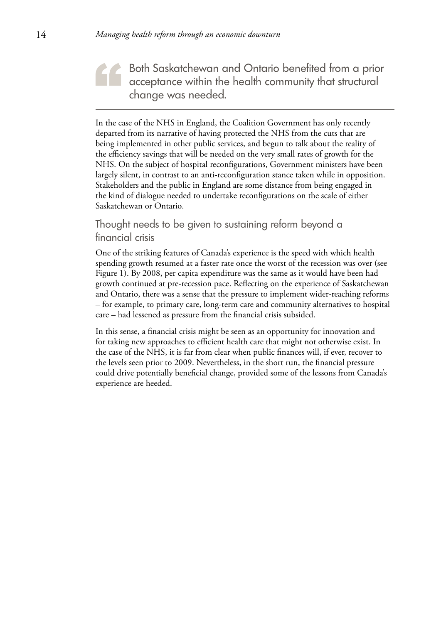Both Saskatchewan and Ontario benefited from a prior acceptance within the health community that structural change was needed.

In the case of the NHS in England, the Coalition Government has only recently departed from its narrative of having protected the NHS from the cuts that are being implemented in other public services, and begun to talk about the reality of the efficiency savings that will be needed on the very small rates of growth for the NHS. On the subject of hospital reconfigurations, Government ministers have been largely silent, in contrast to an anti-reconfiguration stance taken while in opposition. Stakeholders and the public in England are some distance from being engaged in the kind of dialogue needed to undertake reconfigurations on the scale of either Saskatchewan or Ontario.

## Thought needs to be given to sustaining reform beyond a financial crisis

One of the striking features of Canada's experience is the speed with which health spending growth resumed at a faster rate once the worst of the recession was over (see Figure 1). By 2008, per capita expenditure was the same as it would have been had growth continued at pre-recession pace. Reflecting on the experience of Saskatchewan and Ontario, there was a sense that the pressure to implement wider-reaching reforms – for example, to primary care, long-term care and community alternatives to hospital care – had lessened as pressure from the financial crisis subsided.

In this sense, a financial crisis might be seen as an opportunity for innovation and for taking new approaches to efficient health care that might not otherwise exist. In the case of the NHS, it is far from clear when public finances will, if ever, recover to the levels seen prior to 2009. Nevertheless, in the short run, the financial pressure could drive potentially beneficial change, provided some of the lessons from Canada's experience are heeded.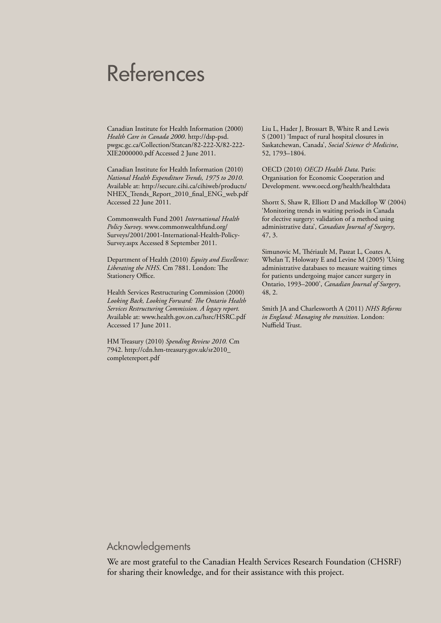# References

Canadian Institute for Health Information (2000) *Health Care in Canada 2000*. http://dsp-psd. pwgsc.gc.ca/Collection/Statcan/82-222-X/82-222- XIE2000000.pdf Accessed 2 June 2011.

Canadian Institute for Health Information (2010) *National Health Expenditure Trends, 1975 to 2010*. Available at: http://secure.cihi.ca/cihiweb/products/ NHEX\_Trends\_Report\_2010\_final\_ENG\_web.pdf Accessed 22 June 2011.

Commonwealth Fund 2001 *International Health Policy Survey*. www.commonwealthfund.org/ Surveys/2001/2001-International-Health-Policy-Survey.aspx Accessed 8 September 2011.

Department of Health (2010) *Equity and Excellence: Liberating the NHS*. Cm 7881. London: The Stationery Office.

Health Services Restructuring Commission (2000) *Looking Back, Looking Forward: The Ontario Health Services Restructuring Commission. A legacy report.* Available at: www.health.gov.on.ca/hsrc/HSRC.pdf Accessed 17 June 2011.

HM Treasury (2010) *Spending Review 2010.* Cm 7942. http://cdn.hm-treasury.gov.uk/sr2010\_ completereport.pdf

Liu L, Hader J, Brossart B, White R and Lewis S (2001) 'Impact of rural hospital closures in Saskatchewan, Canada', *Social Science & Medicine*, 52, 1793–1804.

OECD (2010) *OECD Health Data*. Paris: Organisation for Economic Cooperation and Development. www.oecd.org/health/healthdata

Shortt S, Shaw R, Elliott D and Mackillop W (2004) 'Monitoring trends in waiting periods in Canada for elective surgery: validation of a method using administrative data', *Canadian Journal of Surgery*, 47, 3.

Simunovic M, Thériault M, Paszat L, Coates A, Whelan T, Holowaty E and Levine M (2005) 'Using administrative databases to measure waiting times for patients undergoing major cancer surgery in Ontario, 1993–2000', *Canadian Journal of Surgery*, 48, 2.

Smith JA and Charlesworth A (2011) *NHS Reforms in England: Managing the transition*. London: Nuffield Trust.

## Acknowledgements

We are most grateful to the Canadian Health Services Research Foundation (CHSRF) for sharing their knowledge, and for their assistance with this project.